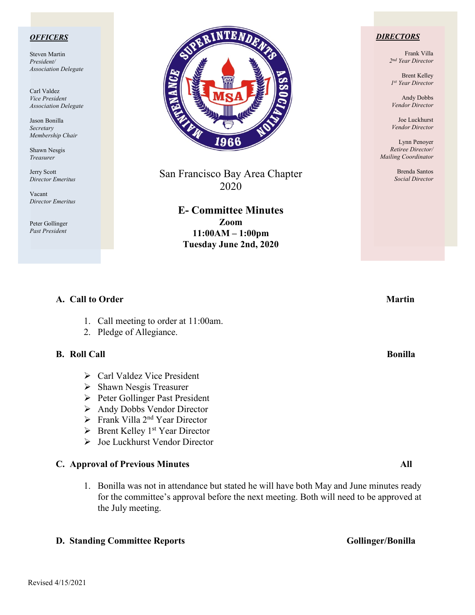### *OFFICERS*

Steven Martin *President/ Association Delegate*

Carl Valdez *Vice President Association Delegate*

Jason Bonilla *Secretary Membership Chair*

Shawn Nesgis *Treasurer*

Jerry Scott *Director Emeritus*

Vacant *Director Emeritus*

Peter Gollinger *Past President*



San Francisco Bay Area Chapter 2020

> **E- Committee Minutes Zoom 11:00AM – 1:00pm Tuesday June 2nd, 2020**

**A.** Call to Order Martin **Martin** 

### *DIRECTORS*

Frank Villa *2nd Year Director*

Brent Kelley *1st Year Director*

Andy Dobbs *Vendor Director*

Joe Luckhurst *Vendor Director*

Lynn Penoyer *Retiree Director/ Mailing Coordinator*

> Brenda Santos *Social Director*

| 1. Call meeting to order at 11:00am.<br>2. Pledge of Allegiance.                                                                          |                |
|-------------------------------------------------------------------------------------------------------------------------------------------|----------------|
| <b>B. Roll Call</b>                                                                                                                       | <b>Bonilla</b> |
| $\triangleright$ Carl Valdez Vice President<br>$\triangleright$ Shawn Nesgis Treasurer<br>$\triangleright$ Peter Gollinger Past President |                |

- Andy Dobbs Vendor Director
- $\triangleright$  Frank Villa 2<sup>nd</sup> Year Director
- $\triangleright$  Brent Kelley 1<sup>st</sup> Year Director
- Joe Luckhurst Vendor Director

### **C. Approval of Previous Minutes All**

1. Bonilla was not in attendance but stated he will have both May and June minutes ready for the committee's approval before the next meeting. Both will need to be approved at the July meeting.

### **D. Standing Committee Reports Gollinger/Bonilla**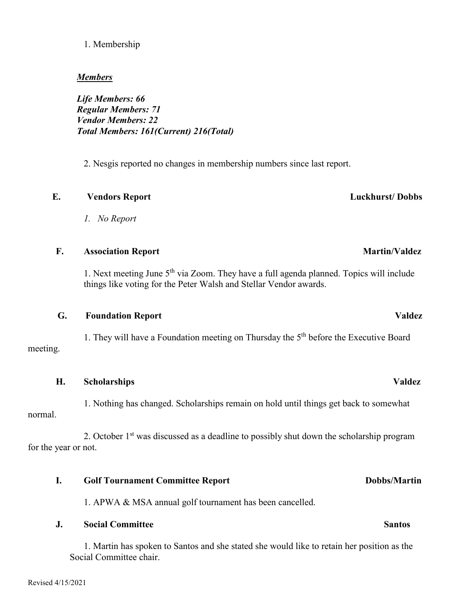### 1. Membership

### *Members*

*Life Members: 66 Regular Members: 71 Vendor Members: 22 Total Members: 161(Current) 216(Total)*

2. Nesgis reported no changes in membership numbers since last report.

# **E. Vendors Report Luckhurst/ Dobbs**

*1. No Report*

## **F.** Association Report Martin/Valdez

1. Next meeting June 5th via Zoom. They have a full agenda planned. Topics will include things like voting for the Peter Walsh and Stellar Vendor awards.

### **G. Foundation Report Valdez**

1. They will have a Foundation meeting on Thursday the 5th before the Executive Board meeting.

## **H. Scholarships Valdez**

 1. Nothing has changed. Scholarships remain on hold until things get back to somewhat normal.

2. October  $1<sup>st</sup>$  was discussed as a deadline to possibly shut down the scholarship program for the year or not.

## **I.** Golf Tournament Committee Report Dobbs/Martin

1. APWA & MSA annual golf tournament has been cancelled.

## **J. Social Committee Santos**

1. Martin has spoken to Santos and she stated she would like to retain her position as the Social Committee chair.